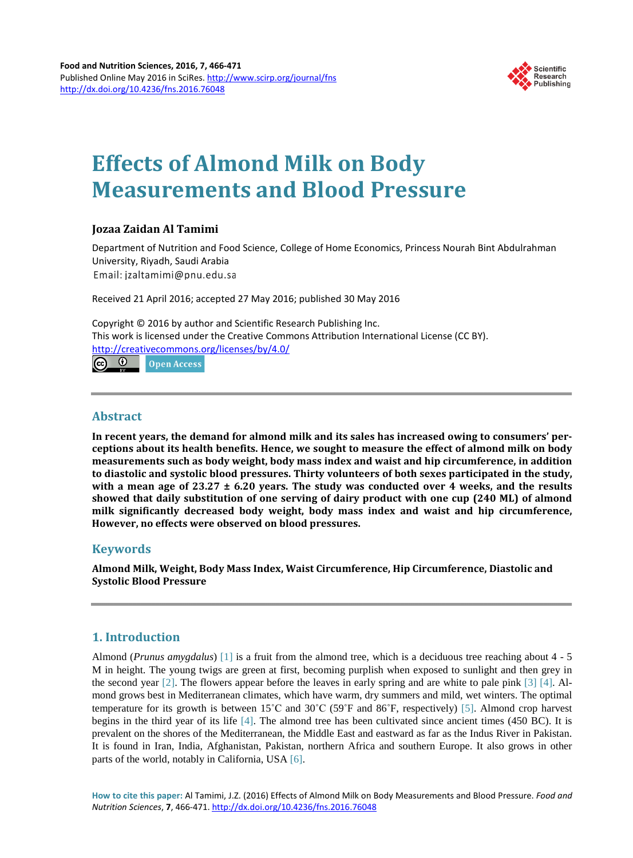

# **Effects of Almond Milk on Body Measurements and Blood Pressure**

# **Jozaa Zaidan Al Tamimi**

Department of Nutrition and Food Science, College of Home Economics, Princess Nourah Bint Abdulrahman University, Riyadh, Saudi Arabia Email: jzaltamimi@pnu.edu.sa

Received 21 April 2016; accepted 27 May 2016; published 30 May 2016

Copyright © 2016 by author and Scientific Research Publishing Inc. This work is licensed under the Creative Commons Attribution International License (CC BY). <http://creativecommons.org/licenses/by/4.0/>

 $\odot$ Open Access

## **Abstract**

**In recent years, the demand for almond milk and its sales has increased owing to consumers' perceptions about its health benefits. Hence, we sought to measure the effect of almond milk on body measurements such as body weight, body mass index and waist and hip circumference, in addition to diastolic and systolic blood pressures. Thirty volunteers of both sexes participated in the study,** with a mean age of  $23.27 \pm 6.20$  years. The study was conducted over 4 weeks, and the results **showed that daily substitution of one serving of dairy product with one cup (240 ML) of almond milk significantly decreased body weight, body mass index and waist and hip circumference, However, no effects were observed on blood pressures.**

# **Keywords**

**Almond Milk, Weight, Body Mass Index, Waist Circumference, Hip Circumference, Diastolic and Systolic Blood Pressure**

# **1. Introduction**

Almond (*Prunus amygdalus*) [\[1\]](#page-4-0) is a fruit from the almond tree, which is a deciduous tree reaching about 4 - 5 M in height. The young twigs are green at first, becoming purplish when exposed to sunlight and then grey in the second year [\[2\].](#page-4-1) The flowers appear before the leaves in early spring and are white to pale pink [\[3\]](#page-4-2) [\[4\].](#page-4-3) Almond grows best in Mediterranean climates, which have warm, dry summers and mild, wet winters. The optimal temperature for its growth is between 15˚C and 30˚C (59˚F and 86˚F, respectively) [\[5\].](#page-4-4) Almond crop harvest begins in the third year of its life [\[4\].](#page-4-3) The almond tree has been cultivated since ancient times (450 BC). It is prevalent on the shores of the Mediterranean, the Middle East and eastward as far as the Indus River in Pakistan. It is found in Iran, India, Afghanistan, Pakistan, northern Africa and southern Europe. It also grows in other parts of the world, notably in California, USA [\[6\].](#page-4-5)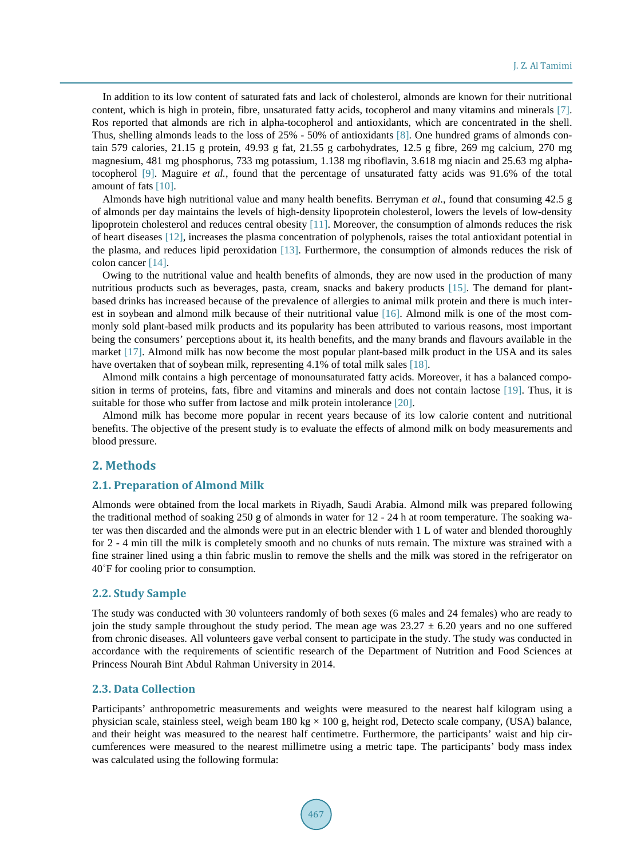In addition to its low content of saturated fats and lack of cholesterol, almonds are known for their nutritional content, which is high in protein, fibre, unsaturated fatty acids, tocopherol and many vitamins and minerals [\[7\].](#page-4-6) Ros reported that almonds are rich in alpha-tocopherol and antioxidants, which are concentrated in the shell. Thus, shelling almonds leads to the loss of 25% - 50% of antioxidants [\[8\].](#page-4-7) One hundred grams of almonds contain 579 calories, 21.15 g protein, 49.93 g fat, 21.55 g carbohydrates, 12.5 g fibre, 269 mg calcium, 270 mg magnesium, 481 mg phosphorus, 733 mg potassium, 1.138 mg riboflavin, 3.618 mg niacin and 25.63 mg alphatocopherol [\[9\].](#page-4-8) Maguire *et al.*, found that the percentage of unsaturated fatty acids was 91.6% of the total amount of fats [\[10\].](#page-4-9)

Almonds have high nutritional value and many health benefits. Berryman *et al*., found that consuming 42.5 g of almonds per day maintains the levels of high-density lipoprotein cholesterol, lowers the levels of low-density lipoprotein cholesterol and reduces central obesity [\[11\].](#page-4-10) Moreover, the consumption of almonds reduces the risk of heart diseases [\[12\],](#page-4-11) increases the plasma concentration of polyphenols, raises the total antioxidant potential in the plasma, and reduces lipid peroxidation [\[13\].](#page-5-0) Furthermore, the consumption of almonds reduces the risk of colon cancer [\[14\].](#page-5-1)

Owing to the nutritional value and health benefits of almonds, they are now used in the production of many nutritious products such as beverages, pasta, cream, snacks and bakery products [\[15\].](#page-5-2) The demand for plantbased drinks has increased because of the prevalence of allergies to animal milk protein and there is much interest in soybean and almond milk because of their nutritional value [\[16\].](#page-5-3) Almond milk is one of the most commonly sold plant-based milk products and its popularity has been attributed to various reasons, most important being the consumers' perceptions about it, its health benefits, and the many brands and flavours available in the market [\[17\].](#page-5-4) Almond milk has now become the most popular plant-based milk product in the USA and its sales have overtaken that of soybean milk, representing 4.1% of total milk sales [\[18\].](#page-5-5)

Almond milk contains a high percentage of monounsaturated fatty acids. Moreover, it has a balanced composition in terms of proteins, fats, fibre and vitamins and minerals and does not contain lactose [\[19\].](#page-5-6) Thus, it is suitable for those who suffer from lactose and milk protein intolerance [\[20\].](#page-5-7)

Almond milk has become more popular in recent years because of its low calorie content and nutritional benefits. The objective of the present study is to evaluate the effects of almond milk on body measurements and blood pressure.

#### **2. Methods**

#### **2.1. Preparation of Almond Milk**

Almonds were obtained from the local markets in Riyadh, Saudi Arabia. Almond milk was prepared following the traditional method of soaking 250 g of almonds in water for 12 - 24 h at room temperature. The soaking water was then discarded and the almonds were put in an electric blender with 1 L of water and blended thoroughly for 2 - 4 min till the milk is completely smooth and no chunks of nuts remain. The mixture was strained with a fine strainer lined using a thin fabric muslin to remove the shells and the milk was stored in the refrigerator on 40˚F for cooling prior to consumption.

#### **2.2. Study Sample**

The study was conducted with 30 volunteers randomly of both sexes (6 males and 24 females) who are ready to join the study sample throughout the study period. The mean age was  $23.27 \pm 6.20$  years and no one suffered from chronic diseases. All volunteers gave verbal consent to participate in the study. The study was conducted in accordance with the requirements of scientific research of the Department of Nutrition and Food Sciences at Princess Nourah Bint Abdul Rahman University in 2014.

#### **2.3. Data Collection**

Participants' anthropometric measurements and weights were measured to the nearest half kilogram using a physician scale, stainless steel, weigh beam 180 kg  $\times$  100 g, height rod, Detecto scale company, (USA) balance, and their height was measured to the nearest half centimetre. Furthermore, the participants' waist and hip circumferences were measured to the nearest millimetre using a metric tape. The participants' body mass index was calculated using the following formula: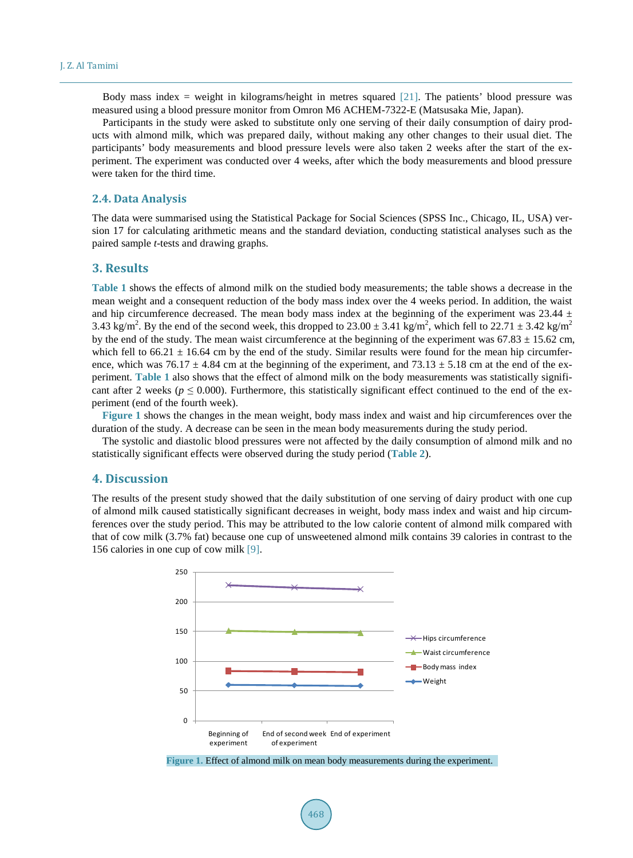Body mass index = weight in kilograms/height in metres squared [\[21\].](#page-5-8) The patients' blood pressure was measured using a blood pressure monitor from Omron M6 ACHEM-7322-E (Matsusaka Mie, Japan).

Participants in the study were asked to substitute only one serving of their daily consumption of dairy products with almond milk, which was prepared daily, without making any other changes to their usual diet. The participants' body measurements and blood pressure levels were also taken 2 weeks after the start of the experiment. The experiment was conducted over 4 weeks, after which the body measurements and blood pressure were taken for the third time.

#### **2.4. Data Analysis**

The data were summarised using the Statistical Package for Social Sciences (SPSS Inc., Chicago, IL, USA) version 17 for calculating arithmetic means and the standard deviation, conducting statistical analyses such as the paired sample *t*-tests and drawing graphs.

#### **3. Results**

**[Table](#page-3-0) 1** shows the effects of almond milk on the studied body measurements; the table shows a decrease in the mean weight and a consequent reduction of the body mass index over the 4 weeks period. In addition, the waist and hip circumference decreased. The mean body mass index at the beginning of the experiment was 23.44  $\pm$ 3.43 kg/m<sup>2</sup>. By the end of the second week, this dropped to  $23.00 \pm 3.41$  kg/m<sup>2</sup>, which fell to  $22.71 \pm 3.42$  kg/m<sup>2</sup> by the end of the study. The mean waist circumference at the beginning of the experiment was  $67.83 \pm 15.62$  cm, which fell to  $66.21 \pm 16.64$  cm by the end of the study. Similar results were found for the mean hip circumference, which was  $76.17 \pm 4.84$  cm at the beginning of the experiment, and  $73.13 \pm 5.18$  cm at the end of the experiment. **[Table](#page-3-0) 1** also shows that the effect of almond milk on the body measurements was statistically significant after 2 weeks ( $p \le 0.000$ ). Furthermore, this statistically significant effect continued to the end of the experiment (end of the fourth week).

**[Figure](#page-2-0) 1** shows the changes in the mean weight, body mass index and waist and hip circumferences over the duration of the study. A decrease can be seen in the mean body measurements during the study period.

The systolic and diastolic blood pressures were not affected by the daily consumption of almond milk and no statistically significant effects were observed during the study period (**[Table](#page-3-1) 2**).

### **4. Discussion**

<span id="page-2-0"></span>The results of the present study showed that the daily substitution of one serving of dairy product with one cup of almond milk caused statistically significant decreases in weight, body mass index and waist and hip circumferences over the study period. This may be attributed to the low calorie content of almond milk compared with that of cow milk (3.7% fat) because one cup of unsweetened almond milk contains 39 calories in contrast to the 156 calories in one cup of cow milk [\[9\].](#page-4-8)



**Figure 1.** Effect of almond milk on mean body measurements during the experiment.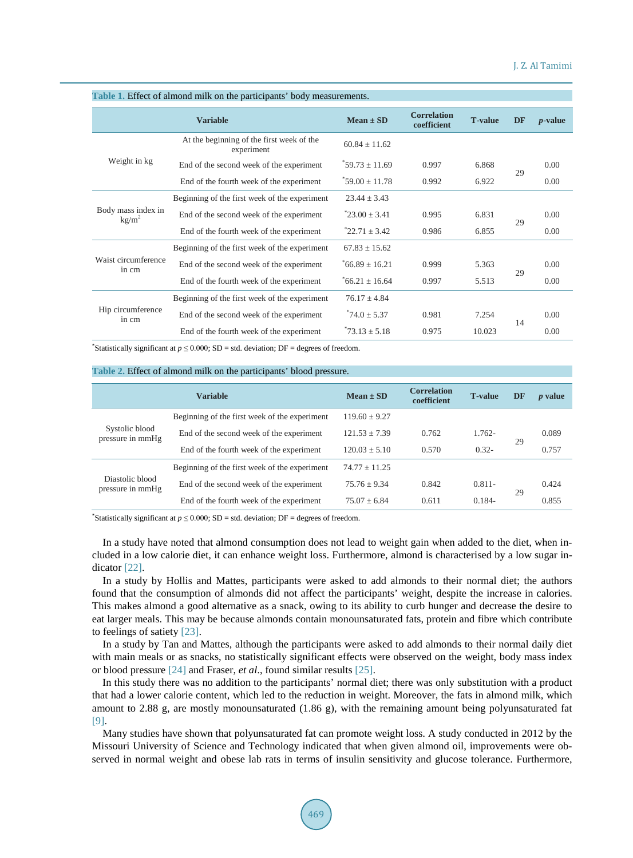| where it millet or allittle limit on the participation code, includitelity |                                                         |                    |                                   |                |           |            |  |  |  |
|----------------------------------------------------------------------------|---------------------------------------------------------|--------------------|-----------------------------------|----------------|-----------|------------|--|--|--|
|                                                                            | <b>Variable</b>                                         | $Mean \pm SD$      | <b>Correlation</b><br>coefficient | <b>T-value</b> | <b>DF</b> | $p$ -value |  |  |  |
| Weight in kg                                                               | At the beginning of the first week of the<br>experiment | $60.84 \pm 11.62$  |                                   |                |           |            |  |  |  |
|                                                                            | End of the second week of the experiment                | $*59.73 \pm 11.69$ | 0.997                             | 6.868          | 29        | 0.00       |  |  |  |
|                                                                            | End of the fourth week of the experiment                | $*59.00 \pm 11.78$ | 0.992                             | 6.922          |           | 0.00       |  |  |  |
| Body mass index in<br>kg/m <sup>2</sup>                                    | Beginning of the first week of the experiment           | $23.44 \pm 3.43$   |                                   |                |           |            |  |  |  |
|                                                                            | End of the second week of the experiment                | $23.00 + 3.41$     | 0.995                             | 6.831          | 29        | 0.00       |  |  |  |
|                                                                            | End of the fourth week of the experiment                | $22.71 \pm 3.42$   | 0.986                             | 6.855          |           | 0.00       |  |  |  |
| Waist circumference<br>in cm                                               | Beginning of the first week of the experiment           | $67.83 \pm 15.62$  |                                   |                |           |            |  |  |  |
|                                                                            | End of the second week of the experiment                | $66.89 + 16.21$    | 0.999                             | 5.363          | 29        | 0.00       |  |  |  |
|                                                                            | End of the fourth week of the experiment                | $66.21 \pm 16.64$  | 0.997                             | 5.513          |           | 0.00       |  |  |  |
| Hip circumference<br>in cm                                                 | Beginning of the first week of the experiment           | $76.17 \pm 4.84$   |                                   |                |           |            |  |  |  |
|                                                                            | End of the second week of the experiment                | $^*74.0 \pm 5.37$  | 0.981                             | 7.254          | 14        | 0.00       |  |  |  |
|                                                                            | End of the fourth week of the experiment                | $13 + 5.18$        | 0.975                             | 10.023         |           | 0.00       |  |  |  |

#### <span id="page-3-0"></span>**Table 1.** Effect of almond milk on the participants' body measurements.

\*Statistically significant at  $p \le 0.000$ ; SD = std. deviation; DF = degrees of freedom.

#### <span id="page-3-1"></span>**Table 2.** Effect of almond milk on the participants' blood pressure.

|                                     | <b>Variable</b>                               | $Mean \pm SD$     | <b>Correlation</b><br>coefficient | <b>T-value</b> | DF | <i>p</i> value |
|-------------------------------------|-----------------------------------------------|-------------------|-----------------------------------|----------------|----|----------------|
| Systolic blood<br>pressure in mmHg  | Beginning of the first week of the experiment | $119.60 \pm 9.27$ |                                   |                |    |                |
|                                     | End of the second week of the experiment      | $121.53 \pm 7.39$ | 0.762                             | $1.762 -$      | 29 | 0.089          |
|                                     | End of the fourth week of the experiment      | $120.03 \pm 5.10$ | 0.570                             | $0.32 -$       |    | 0.757          |
| Diastolic blood<br>pressure in mmHg | Beginning of the first week of the experiment | $74.77 \pm 11.25$ |                                   |                |    |                |
|                                     | End of the second week of the experiment      | $75.76 + 9.34$    | 0.842                             | $0.811 -$      | 29 | 0.424          |
|                                     | End of the fourth week of the experiment      | $75.07 + 6.84$    | 0.611                             | $0.184 -$      |    | 0.855          |

\*Statistically significant at  $p \le 0.000$ ; SD = std. deviation; DF = degrees of freedom.

In a study have noted that almond consumption does not lead to weight gain when added to the diet, when included in a low calorie diet, it can enhance weight loss. Furthermore, almond is characterised by a low sugar indicator [\[22\].](#page-5-9)

In a study by Hollis and Mattes, participants were asked to add almonds to their normal diet; the authors found that the consumption of almonds did not affect the participants' weight, despite the increase in calories. This makes almond a good alternative as a snack, owing to its ability to curb hunger and decrease the desire to eat larger meals. This may be because almonds contain monounsaturated fats, protein and fibre which contribute to feelings of satiety [\[23\].](#page-5-10)

In a study by Tan and Mattes, although the participants were asked to add almonds to their normal daily diet with main meals or as snacks, no statistically significant effects were observed on the weight, body mass index or blood pressure [\[24\]](#page-5-11) and Fraser, *et al*., found similar results [\[25\].](#page-5-12)

In this study there was no addition to the participants' normal diet; there was only substitution with a product that had a lower calorie content, which led to the reduction in weight. Moreover, the fats in almond milk, which amount to 2.88 g, are mostly monounsaturated (1.86 g), with the remaining amount being polyunsaturated fat [\[9\].](#page-4-8)

Many studies have shown that polyunsaturated fat can promote weight loss. A study conducted in 2012 by the Missouri University of Science and Technology indicated that when given almond oil, improvements were observed in normal weight and obese lab rats in terms of insulin sensitivity and glucose tolerance. Furthermore,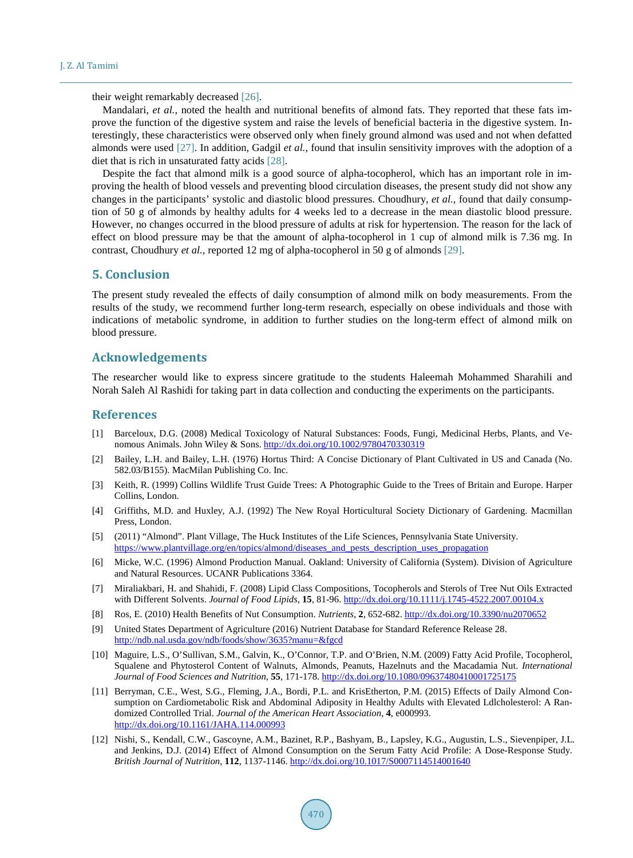their weight remarkably decreased [\[26\].](#page-5-13)

Mandalari, *et al.*, noted the health and nutritional benefits of almond fats. They reported that these fats improve the function of the digestive system and raise the levels of beneficial bacteria in the digestive system. Interestingly, these characteristics were observed only when finely ground almond was used and not when defatted almonds were used [\[27\].](#page-5-14) In addition, Gadgil *et al.*, found that insulin sensitivity improves with the adoption of a diet that is rich in unsaturated fatty acids [\[28\].](#page-5-15)

Despite the fact that almond milk is a good source of alpha-tocopherol, which has an important role in improving the health of blood vessels and preventing blood circulation diseases, the present study did not show any changes in the participants' systolic and diastolic blood pressures. Choudhury, *et al.*, found that daily consumption of 50 g of almonds by healthy adults for 4 weeks led to a decrease in the mean diastolic blood pressure. However, no changes occurred in the blood pressure of adults at risk for hypertension. The reason for the lack of effect on blood pressure may be that the amount of alpha-tocopherol in 1 cup of almond milk is 7.36 mg. In contrast, Choudhury *et al.*, reported 12 mg of alpha-tocopherol in 50 g of almonds [\[29\].](#page-5-16)

#### **5. Conclusion**

The present study revealed the effects of daily consumption of almond milk on body measurements. From the results of the study, we recommend further long-term research, especially on obese individuals and those with indications of metabolic syndrome, in addition to further studies on the long-term effect of almond milk on blood pressure.

#### **Acknowledgements**

The researcher would like to express sincere gratitude to the students Haleemah Mohammed Sharahili and Norah Saleh Al Rashidi for taking part in data collection and conducting the experiments on the participants.

#### **References**

- <span id="page-4-0"></span>[1] Barceloux, D.G. (2008) Medical Toxicology of Natural Substances: Foods, Fungi, Medicinal Herbs, Plants, and Venomous Animals. John Wiley & Sons. <http://dx.doi.org/10.1002/9780470330319>
- <span id="page-4-1"></span>[2] Bailey, L.H. and Bailey, L.H. (1976) Hortus Third: A Concise Dictionary of Plant Cultivated in US and Canada (No. 582.03/B155). MacMilan Publishing Co. Inc.
- <span id="page-4-2"></span>[3] Keith, R. (1999) Collins Wildlife Trust Guide Trees: A Photographic Guide to the Trees of Britain and Europe. Harper Collins, London.
- <span id="page-4-3"></span>[4] Griffiths, M.D. and Huxley, A.J. (1992) The New Royal Horticultural Society Dictionary of Gardening. Macmillan Press, London.
- <span id="page-4-4"></span>[5] (2011) "Almond". Plant Village, The Huck Institutes of the Life Sciences, Pennsylvania State University. [https://www.plantvillage.org/en/topics/almond/diseases\\_and\\_pests\\_description\\_uses\\_propagation](https://www.plantvillage.org/en/topics/almond/diseases_and_pests_description_uses_propagation)
- <span id="page-4-5"></span>[6] Micke, W.C. (1996) Almond Production Manual. Oakland: University of California (System). Division of Agriculture and Natural Resources. UCANR Publications 3364.
- <span id="page-4-6"></span>[7] Miraliakbari, H. and Shahidi, F. (2008) Lipid Class Compositions, Tocopherols and Sterols of Tree Nut Oils Extracted with Different Solvents. *Journal of Food Lipids*, **15**, 81-96. <http://dx.doi.org/10.1111/j.1745-4522.2007.00104.x>
- <span id="page-4-7"></span>[8] Ros, E. (2010) Health Benefits of Nut Consumption. *Nutrients*, **2**, 652-682. <http://dx.doi.org/10.3390/nu2070652>
- <span id="page-4-8"></span>[9] United States Department of Agriculture (2016) Nutrient Database for Standard Reference Release 28. <http://ndb.nal.usda.gov/ndb/foods/show/3635?manu=&fgcd>
- <span id="page-4-9"></span>[10] Maguire, L.S., O'Sullivan, S.M., Galvin, K., O'Connor, T.P. and O'Brien, N.M. (2009) Fatty Acid Profile, Tocopherol, Squalene and Phytosterol Content of Walnuts, Almonds, Peanuts, Hazelnuts and the Macadamia Nut. *International Journal of Food Sciences and Nutrition*, **55**, 171-178. <http://dx.doi.org/10.1080/09637480410001725175>
- <span id="page-4-10"></span>[11] Berryman, C.E., West, S.G., Fleming, J.A., Bordi, P.L. and KrisEtherton, P.M. (2015) Effects of Daily Almond Consumption on Cardiometabolic Risk and Abdominal Adiposity in Healthy Adults with Elevated Ldlcholesterol: A Randomized Controlled Trial. *Journal of the American Heart Association*, **4**, e000993. <http://dx.doi.org/10.1161/JAHA.114.000993>
- <span id="page-4-11"></span>[12] Nishi, S., Kendall, C.W., Gascoyne, A.M., Bazinet, R.P., Bashyam, B., Lapsley, K.G., Augustin, L.S., Sievenpiper, J.L. and Jenkins, D.J. (2014) Effect of Almond Consumption on the Serum Fatty Acid Profile: A Dose-Response Study. *British Journal of Nutrition*, **112**, 1137-1146. <http://dx.doi.org/10.1017/S0007114514001640>